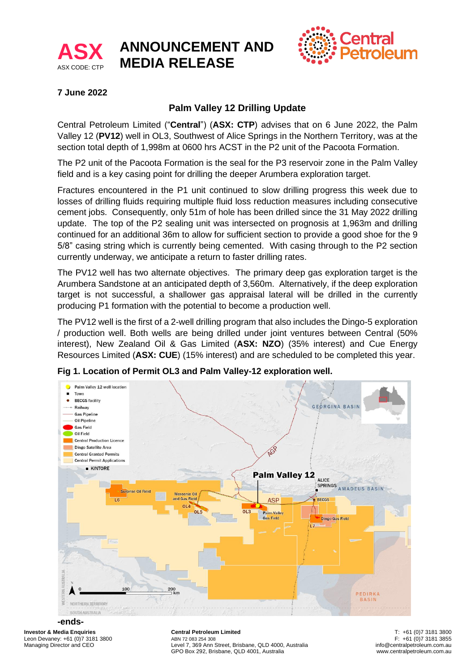

# **ANNOUNCEMENT AND MEDIA RELEASE**



### **7 June 2022**

## **Palm Valley 12 Drilling Update**

Central Petroleum Limited ("**Central**") (**ASX: CTP**) advises that on 6 June 2022, the Palm Valley 12 (**PV12**) well in OL3, Southwest of Alice Springs in the Northern Territory, was at the section total depth of 1,998m at 0600 hrs ACST in the P2 unit of the Pacoota Formation.

The P2 unit of the Pacoota Formation is the seal for the P3 reservoir zone in the Palm Valley field and is a key casing point for drilling the deeper Arumbera exploration target.

Fractures encountered in the P1 unit continued to slow drilling progress this week due to losses of drilling fluids requiring multiple fluid loss reduction measures including consecutive cement jobs. Consequently, only 51m of hole has been drilled since the 31 May 2022 drilling update. The top of the P2 sealing unit was intersected on prognosis at 1,963m and drilling continued for an additional 36m to allow for sufficient section to provide a good shoe for the 9 5/8" casing string which is currently being cemented. With casing through to the P2 section currently underway, we anticipate a return to faster drilling rates.

The PV12 well has two alternate objectives. The primary deep gas exploration target is the Arumbera Sandstone at an anticipated depth of 3,560m. Alternatively, if the deep exploration target is not successful, a shallower gas appraisal lateral will be drilled in the currently producing P1 formation with the potential to become a production well.

The PV12 well is the first of a 2-well drilling program that also includes the Dingo-5 exploration / production well. Both wells are being drilled under joint ventures between Central (50% interest), New Zealand Oil & Gas Limited (**ASX: NZO**) (35% interest) and Cue Energy Resources Limited (**ASX: CUE**) (15% interest) and are scheduled to be completed this year.



**Fig 1. Location of Permit OL3 and Palm Valley-12 exploration well.**

## **-ends-**

**Investor & Media Enquiries** Leon Devaney: +61 (0)7 3181 3800 Managing Director and CEO

**Central Petroleum Limited** ABN 72 083 254 308. Level 7, 369 Ann Street, Brisbane, QLD 4000, Australia GPO Box 292, Brisbane, QLD 4001, Australia

T: +61 (0)7 3181 3800 F: +61 (0)7 3181 3855 info@centralpetroleum.com.au www.centralpetroleum.com.au